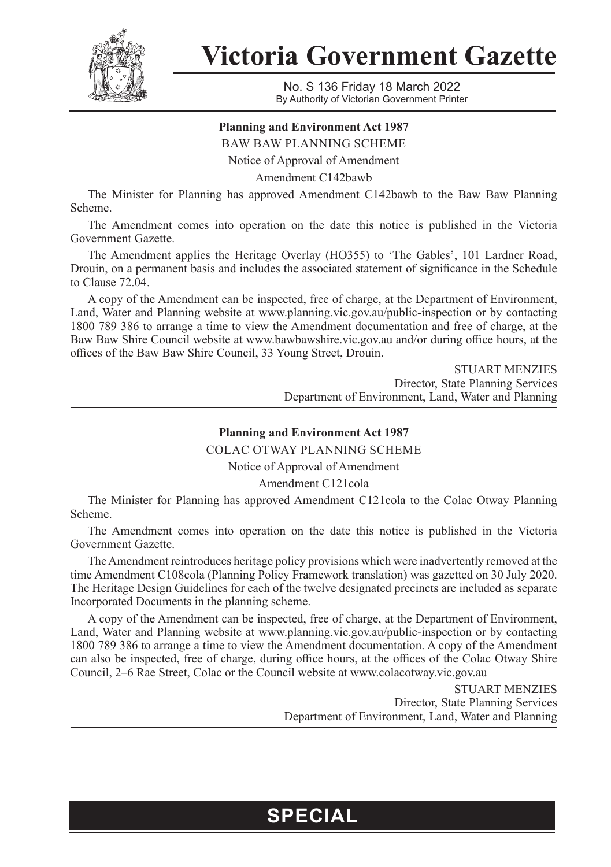

**Victoria Government Gazette**

No. S 136 Friday 18 March 2022 By Authority of Victorian Government Printer

#### **Planning and Environment Act 1987**

BAW BAW PLANNING SCHEME

Notice of Approval of Amendment

Amendment C142bawb

The Minister for Planning has approved Amendment C142bawb to the Baw Baw Planning Scheme.

The Amendment comes into operation on the date this notice is published in the Victoria Government Gazette.

The Amendment applies the Heritage Overlay (HO355) to 'The Gables', 101 Lardner Road, Drouin, on a permanent basis and includes the associated statement of significance in the Schedule to Clause 72.04.

A copy of the Amendment can be inspected, free of charge, at the Department of Environment, Land, Water and Planning website at www.planning.vic.gov.au/public-inspection or by contacting 1800 789 386 to arrange a time to view the Amendment documentation and free of charge, at the Baw Baw Shire Council website at www.bawbawshire.vic.gov.au and/or during office hours, at the offices of the Baw Baw Shire Council, 33 Young Street, Drouin.

> STUART MENZIES Director, State Planning Services Department of Environment, Land, Water and Planning

#### **Planning and Environment Act 1987**

COLAC OTWAY PLANNING SCHEME

Notice of Approval of Amendment

Amendment C121cola

The Minister for Planning has approved Amendment C121cola to the Colac Otway Planning Scheme.

The Amendment comes into operation on the date this notice is published in the Victoria Government Gazette.

The Amendment reintroduces heritage policy provisions which were inadvertently removed at the time Amendment C108cola (Planning Policy Framework translation) was gazetted on 30 July 2020. The Heritage Design Guidelines for each of the twelve designated precincts are included as separate Incorporated Documents in the planning scheme.

A copy of the Amendment can be inspected, free of charge, at the Department of Environment, Land, Water and Planning website at www.planning.vic.gov.au/public-inspection or by contacting 1800 789 386 to arrange a time to view the Amendment documentation. A copy of the Amendment can also be inspected, free of charge, during office hours, at the offices of the Colac Otway Shire Council, 2–6 Rae Street, Colac or the Council website at www.colacotway.vic.gov.au

> STUART MENZIES Director, State Planning Services Department of Environment, Land, Water and Planning

## **SPECIAL**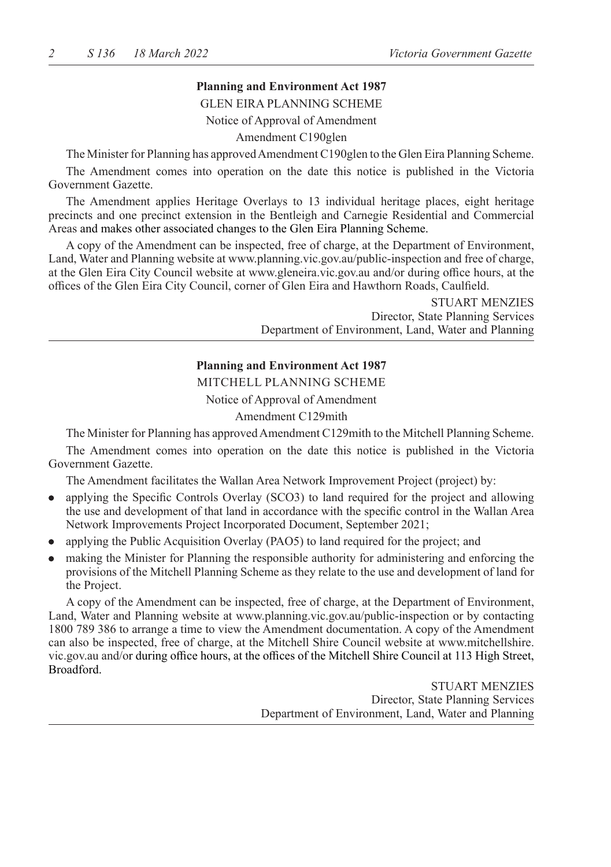#### **Planning and Environment Act 1987**

GLEN EIRA PLANNING SCHEME

Notice of Approval of Amendment

Amendment C190glen

The Minister for Planning has approved Amendment C190glen to the Glen Eira Planning Scheme.

The Amendment comes into operation on the date this notice is published in the Victoria Government Gazette.

The Amendment applies Heritage Overlays to 13 individual heritage places, eight heritage precincts and one precinct extension in the Bentleigh and Carnegie Residential and Commercial Areas and makes other associated changes to the Glen Eira Planning Scheme.

A copy of the Amendment can be inspected, free of charge, at the Department of Environment, Land, Water and Planning website at www.planning.vic.gov.au/public-inspection and free of charge, at the Glen Eira City Council website at www.gleneira.vic.gov.au and/or during office hours, at the offices of the Glen Eira City Council, corner of Glen Eira and Hawthorn Roads, Caulfield.

> STUART MENZIES Director, State Planning Services Department of Environment, Land, Water and Planning

**Planning and Environment Act 1987**

MITCHELL PLANNING SCHEME

Notice of Approval of Amendment

Amendment C129mith

The Minister for Planning has approved Amendment C129mith to the Mitchell Planning Scheme.

The Amendment comes into operation on the date this notice is published in the Victoria Government Gazette.

The Amendment facilitates the Wallan Area Network Improvement Project (project) by:

- applying the Specific Controls Overlay (SCO3) to land required for the project and allowing the use and development of that land in accordance with the specific control in the Wallan Area Network Improvements Project Incorporated Document, September 2021;
- applying the Public Acquisition Overlay (PAO5) to land required for the project; and
- making the Minister for Planning the responsible authority for administering and enforcing the provisions of the Mitchell Planning Scheme as they relate to the use and development of land for the Project.

A copy of the Amendment can be inspected, free of charge, at the Department of Environment, Land, Water and Planning website at www.planning.vic.gov.au/public-inspection or by contacting 1800 789 386 to arrange a time to view the Amendment documentation. A copy of the Amendment can also be inspected, free of charge, at the Mitchell Shire Council website at www.mitchellshire. vic.gov.au and/or during office hours, at the offices of the Mitchell Shire Council at 113 High Street, Broadford.

> STUART MENZIES Director, State Planning Services Department of Environment, Land, Water and Planning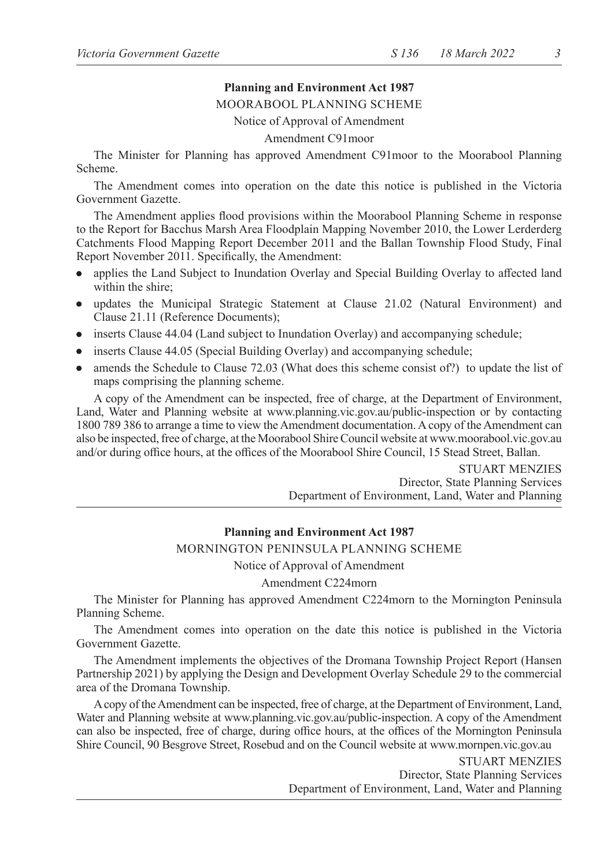#### **Planning and Environment Act 1987**

#### MOORABOOL PLANNING SCHEME

Notice of Approval of Amendment

#### Amendment C91moor

The Minister for Planning has approved Amendment C91moor to the Moorabool Planning Scheme.

The Amendment comes into operation on the date this notice is published in the Victoria Government Gazette.

The Amendment applies flood provisions within the Moorabool Planning Scheme in response to the Report for Bacchus Marsh Area Floodplain Mapping November 2010, the Lower Lerderderg Catchments Flood Mapping Report December 2011 and the Ballan Township Flood Study, Final Report November 2011. Specifically, the Amendment:

- $\bullet$ applies the Land Subject to Inundation Overlay and Special Building Overlay to affected land within the shire;
- updates the Municipal Strategic Statement at Clause 21.02 (Natural Environment) and Clause 21.11 (Reference Documents);
- inserts Clause 44.04 (Land subject to Inundation Overlay) and accompanying schedule;
- inserts Clause 44.05 (Special Building Overlay) and accompanying schedule;
- amends the Schedule to Clause 72.03 (What does this scheme consist of?) to update the list of maps comprising the planning scheme.

A copy of the Amendment can be inspected, free of charge, at the Department of Environment, Land, Water and Planning website at www.planning.vic.gov.au/public-inspection or by contacting 1800 789 386 to arrange a time to view the Amendment documentation. A copy of the Amendment can also be inspected, free of charge, at the Moorabool Shire Council website at www.moorabool.vic.gov.au and/or during office hours, at the offices of the Moorabool Shire Council, 15 Stead Street, Ballan.

> STUART MENZIES Director, State Planning Services Department of Environment, Land, Water and Planning

#### **Planning and Environment Act 1987**

MORNINGTON PENINSULA PLANNING SCHEME

Notice of Approval of Amendment

#### Amendment C224morn

The Minister for Planning has approved Amendment C224morn to the Mornington Peninsula Planning Scheme.

The Amendment comes into operation on the date this notice is published in the Victoria Government Gazette.

The Amendment implements the objectives of the Dromana Township Project Report (Hansen Partnership 2021) by applying the Design and Development Overlay Schedule 29 to the commercial area of the Dromana Township.

A copy of the Amendment can be inspected, free of charge, at the Department of Environment, Land, Water and Planning website at www.planning.vic.gov.au/public-inspection. A copy of the Amendment can also be inspected, free of charge, during office hours, at the offices of the Mornington Peninsula Shire Council, 90 Besgrove Street, Rosebud and on the Council website at www.mornpen.vic.gov.au

> STUART MENZIES Director, State Planning Services Department of Environment, Land, Water and Planning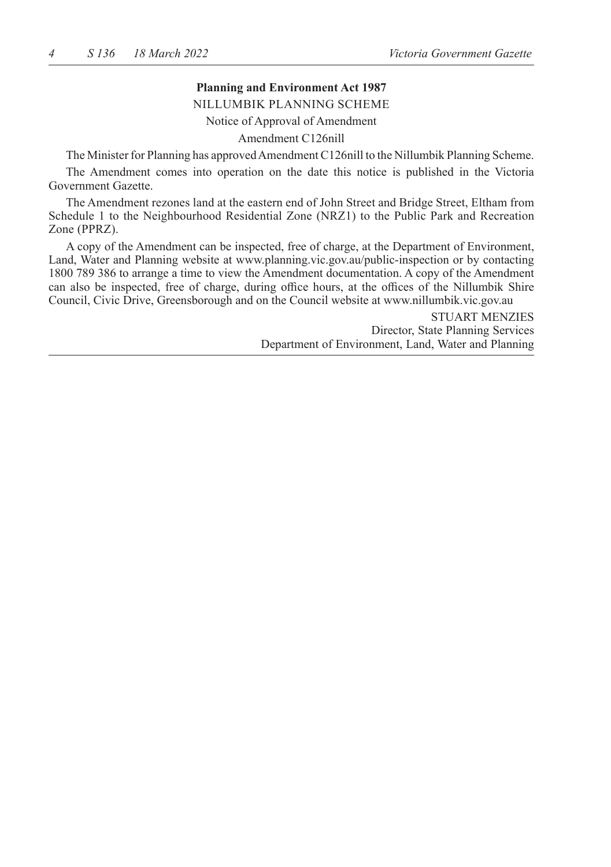### **Planning and Environment Act 1987**

NILLUMBIK PLANNING SCHEME

Notice of Approval of Amendment

Amendment C126nill

The Minister for Planning has approved Amendment C126nill to the Nillumbik Planning Scheme.

The Amendment comes into operation on the date this notice is published in the Victoria Government Gazette.

The Amendment rezones land at the eastern end of John Street and Bridge Street, Eltham from Schedule 1 to the Neighbourhood Residential Zone (NRZ1) to the Public Park and Recreation Zone (PPRZ).

A copy of the Amendment can be inspected, free of charge, at the Department of Environment, Land, Water and Planning website at www.planning.vic.gov.au/public-inspection or by contacting 1800 789 386 to arrange a time to view the Amendment documentation. A copy of the Amendment can also be inspected, free of charge, during office hours, at the offices of the Nillumbik Shire Council, Civic Drive, Greensborough and on the Council website at www.nillumbik.vic.gov.au

> STUART MENZIES Director, State Planning Services Department of Environment, Land, Water and Planning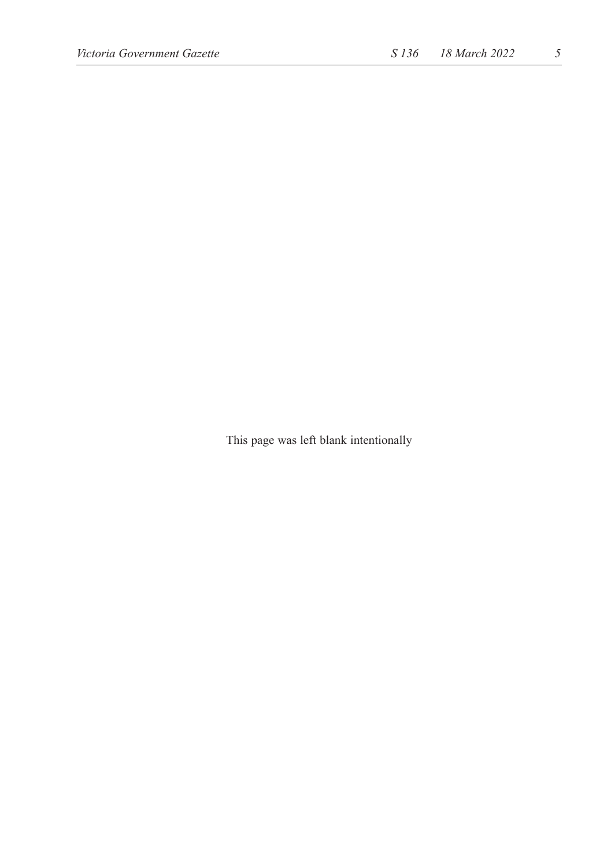This page was left blank intentionally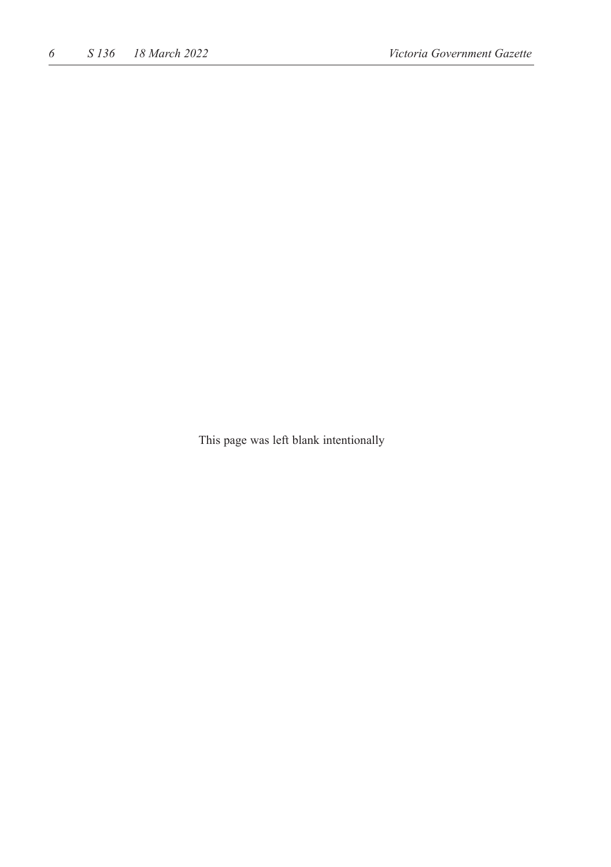This page was left blank intentionally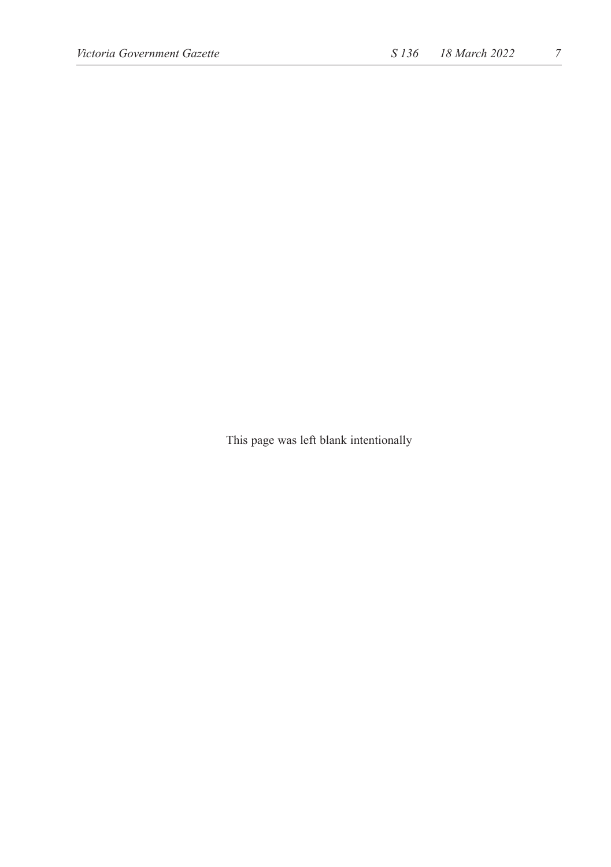This page was left blank intentionally